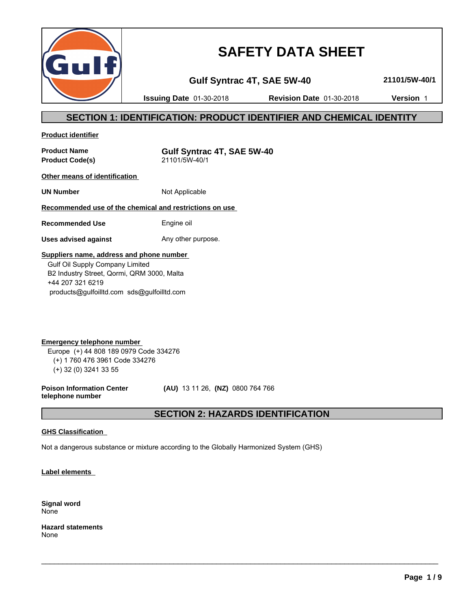

# **SAFETY DATA SHEET**

**Gulf Syntrac 4T, SAE 5W-40 21101/5W-40/1**

**Issuing Date** 01-30-2018 **Revision Date** 01-30-2018 **Version** 1

# **SECTION 1: IDENTIFICATION: PRODUCT IDENTIFIER AND CHEMICAL IDENTITY**

**Product identifier**

**Product Code(s)** 

**Product Name**<br> **Product Code(s)**<br> **Product Code(s)**<br> **Gulf Syntrac 4T, SAE 5W-40** 

**Other means of identification** 

**UN Number** Not Applicable

### **Recommended use of the chemical and restrictions on use**

**Recommended Use** Engine oil

**Uses advised against** Any other purpose.

### **Suppliers name, address and phone number**

 Gulf Oil Supply Company Limited B2 Industry Street, Qormi, QRM 3000, Malta +44 207 321 6219 products@gulfoilltd.com sds@gulfoilltd.com

**Emergency telephone number**  Europe (+) 44 808 189 0979 Code 334276 (+) 1 760 476 3961 Code 334276 (+) 32 (0) 3241 33 55

**Poison Information Center telephone number**

 **(AU)** 13 11 26, **(NZ)** 0800 764 766

# **SECTION 2: HAZARDS IDENTIFICATION**

 $\_$  ,  $\_$  ,  $\_$  ,  $\_$  ,  $\_$  ,  $\_$  ,  $\_$  ,  $\_$  ,  $\_$  ,  $\_$  ,  $\_$  ,  $\_$  ,  $\_$  ,  $\_$  ,  $\_$  ,  $\_$  ,  $\_$  ,  $\_$  ,  $\_$  ,  $\_$  ,  $\_$  ,  $\_$  ,  $\_$  ,  $\_$  ,  $\_$  ,  $\_$  ,  $\_$  ,  $\_$  ,  $\_$  ,  $\_$  ,  $\_$  ,  $\_$  ,  $\_$  ,  $\_$  ,  $\_$  ,  $\_$  ,  $\_$  ,

### **GHS Classification**

Not a dangerous substance or mixture according to the Globally Harmonized System (GHS)

**Label elements** 

**Signal word** None

**Hazard statements** None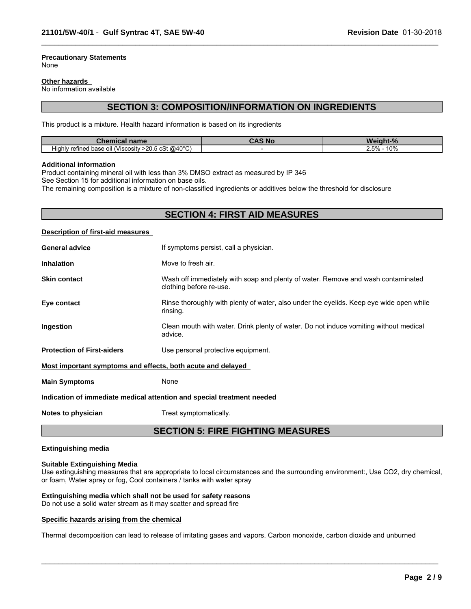#### **Precautionary Statements** None

#### **Other hazards**

No information available

### **SECTION 3: COMPOSITION/INFORMATION ON INGREDIENTS**

 $\_$  ,  $\_$  ,  $\_$  ,  $\_$  ,  $\_$  ,  $\_$  ,  $\_$  ,  $\_$  ,  $\_$  ,  $\_$  ,  $\_$  ,  $\_$  ,  $\_$  ,  $\_$  ,  $\_$  ,  $\_$  ,  $\_$  ,  $\_$  ,  $\_$  ,  $\_$  ,  $\_$  ,  $\_$  ,  $\_$  ,  $\_$  ,  $\_$  ,  $\_$  ,  $\_$  ,  $\_$  ,  $\_$  ,  $\_$  ,  $\_$  ,  $\_$  ,  $\_$  ,  $\_$  ,  $\_$  ,  $\_$  ,  $\_$  ,

This product is a mixture. Health hazard information is based on its ingredients

| .<br>name<br>Chen<br>nical                                                   | s No | <b>Table</b>                                 |
|------------------------------------------------------------------------------|------|----------------------------------------------|
| $>$ 20.5 cSt @40 °C)<br>. .<br>/ refined base⊣<br>: oil (Viscosity<br>Hiahlv |      | $\sim$<br>$ -$<br>$\sim$<br>1 U 7 U<br>2.070 |

#### **Additional information**

Product containing mineral oil with less than 3% DMSO extract as measured by IP 346

See Section 15 for additional information on base oils.

The remaining composition is a mixture of non-classified ingredients or additives below the threshold for disclosure

### **SECTION 4: FIRST AID MEASURES**

#### **Description of first-aid measures**

| <b>General advice</b>                                       | If symptoms persist, call a physician.                                                                      |
|-------------------------------------------------------------|-------------------------------------------------------------------------------------------------------------|
| <b>Inhalation</b>                                           | Move to fresh air.                                                                                          |
| <b>Skin contact</b>                                         | Wash off immediately with soap and plenty of water. Remove and wash contaminated<br>clothing before re-use. |
| Eye contact                                                 | Rinse thoroughly with plenty of water, also under the eyelids. Keep eye wide open while<br>rinsing.         |
| Ingestion                                                   | Clean mouth with water. Drink plenty of water. Do not induce vomiting without medical<br>advice.            |
| <b>Protection of First-aiders</b>                           | Use personal protective equipment.                                                                          |
| Most important symptoms and effects, both acute and delayed |                                                                                                             |
| <b>Main Symptoms</b>                                        | None                                                                                                        |
|                                                             | Indication of immediate medical attention and special treatment needed                                      |

**Notes to physician** Treat symptomatically.

### **SECTION 5: FIRE FIGHTING MEASURES**

#### **Extinguishing media**

#### **Suitable Extinguishing Media**

Use extinguishing measures that are appropriate to local circumstances and the surrounding environment:, Use CO2, dry chemical, or foam, Water spray or fog, Cool containers / tanks with water spray

 $\_$  ,  $\_$  ,  $\_$  ,  $\_$  ,  $\_$  ,  $\_$  ,  $\_$  ,  $\_$  ,  $\_$  ,  $\_$  ,  $\_$  ,  $\_$  ,  $\_$  ,  $\_$  ,  $\_$  ,  $\_$  ,  $\_$  ,  $\_$  ,  $\_$  ,  $\_$  ,  $\_$  ,  $\_$  ,  $\_$  ,  $\_$  ,  $\_$  ,  $\_$  ,  $\_$  ,  $\_$  ,  $\_$  ,  $\_$  ,  $\_$  ,  $\_$  ,  $\_$  ,  $\_$  ,  $\_$  ,  $\_$  ,  $\_$  ,

### **Extinguishing media which shall not be used for safety reasons**

Do not use a solid water stream as it may scatter and spread fire

#### **Specific hazards arising from the chemical**

Thermal decomposition can lead to release of irritating gases and vapors. Carbon monoxide, carbon dioxide and unburned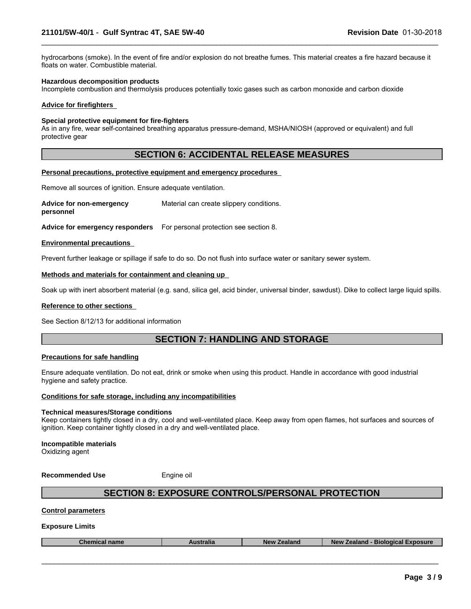hydrocarbons (smoke). In the event of fire and/or explosion do not breathe fumes. This material creates a fire hazard because it floats on water. Combustible material.

 $\_$  ,  $\_$  ,  $\_$  ,  $\_$  ,  $\_$  ,  $\_$  ,  $\_$  ,  $\_$  ,  $\_$  ,  $\_$  ,  $\_$  ,  $\_$  ,  $\_$  ,  $\_$  ,  $\_$  ,  $\_$  ,  $\_$  ,  $\_$  ,  $\_$  ,  $\_$  ,  $\_$  ,  $\_$  ,  $\_$  ,  $\_$  ,  $\_$  ,  $\_$  ,  $\_$  ,  $\_$  ,  $\_$  ,  $\_$  ,  $\_$  ,  $\_$  ,  $\_$  ,  $\_$  ,  $\_$  ,  $\_$  ,  $\_$  ,

#### **Hazardous decomposition products**

Incomplete combustion and thermolysis produces potentially toxic gases such as carbon monoxide and carbon dioxide

#### **Advice for firefighters**

#### **Special protective equipment for fire-fighters**

As in any fire, wear self-contained breathing apparatus pressure-demand, MSHA/NIOSH (approved or equivalent) and full protective gear

### **SECTION 6: ACCIDENTAL RELEASE MEASURES**

#### **Personal precautions, protective equipment and emergency procedures**

Remove all sources of ignition. Ensure adequate ventilation.

**Advice for non-emergency personnel** Material can create slippery conditions.

**Advice for emergency responders** For personal protection see section 8.

#### **Environmental precautions**

Prevent further leakage or spillage if safe to do so. Do not flush into surface water or sanitary sewer system.

#### **Methods and materials for containment and cleaning up**

Soak up with inert absorbent material (e.g. sand, silica gel, acid binder, universal binder, sawdust). Dike to collect large liquid spills.

#### **Reference to other sections**

See Section 8/12/13 for additional information

# **SECTION 7: HANDLING AND STORAGE**

#### **Precautions for safe handling**

Ensure adequate ventilation. Do not eat, drink or smoke when using this product. Handle in accordance with good industrial hygiene and safety practice.

### **Conditions for safe storage, including any incompatibilities**

#### **Technical measures/Storage conditions**

Keep containers tightly closed in a dry, cool and well-ventilated place. Keep away from open flames, hot surfaces and sources of ignition. Keep container tightly closed in a dry and well-ventilated place.

**Incompatible materials** Oxidizing agent

**Recommended Use** Engine oil

# **SECTION 8: EXPOSURE CONTROLS/PERSONAL PROTECTION**

#### **Control parameters**

#### **Exposure Limits**

| <b>coosure</b><br>Biological<br>ralıa<br><b>NAV</b><br>,,,,,,,,<br>,,,,,<br>⊸ner<br>name<br>-adidi iv<br>эюнь. |
|----------------------------------------------------------------------------------------------------------------|
|----------------------------------------------------------------------------------------------------------------|

 $\_$  ,  $\_$  ,  $\_$  ,  $\_$  ,  $\_$  ,  $\_$  ,  $\_$  ,  $\_$  ,  $\_$  ,  $\_$  ,  $\_$  ,  $\_$  ,  $\_$  ,  $\_$  ,  $\_$  ,  $\_$  ,  $\_$  ,  $\_$  ,  $\_$  ,  $\_$  ,  $\_$  ,  $\_$  ,  $\_$  ,  $\_$  ,  $\_$  ,  $\_$  ,  $\_$  ,  $\_$  ,  $\_$  ,  $\_$  ,  $\_$  ,  $\_$  ,  $\_$  ,  $\_$  ,  $\_$  ,  $\_$  ,  $\_$  ,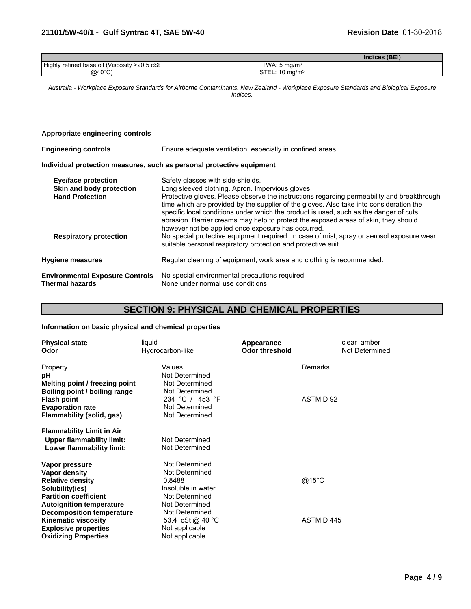|                                               |                           | Indices (BEI) |
|-----------------------------------------------|---------------------------|---------------|
| Highly refined base oil (Viscosity >20.5 cSt) | TWA: $5 \text{ mg/m}^3$   |               |
| @40°C)                                        | STEL: $10 \text{ mg/m}^3$ |               |

 $\_$  ,  $\_$  ,  $\_$  ,  $\_$  ,  $\_$  ,  $\_$  ,  $\_$  ,  $\_$  ,  $\_$  ,  $\_$  ,  $\_$  ,  $\_$  ,  $\_$  ,  $\_$  ,  $\_$  ,  $\_$  ,  $\_$  ,  $\_$  ,  $\_$  ,  $\_$  ,  $\_$  ,  $\_$  ,  $\_$  ,  $\_$  ,  $\_$  ,  $\_$  ,  $\_$  ,  $\_$  ,  $\_$  ,  $\_$  ,  $\_$  ,  $\_$  ,  $\_$  ,  $\_$  ,  $\_$  ,  $\_$  ,  $\_$  ,

*Australia - Workplace Exposure Standards for Airborne Contaminants. New Zealand - Workplace Exposure Standards and Biological Exposure Indices.*

### **Appropriate engineering controls**

| <b>Engineering controls</b>                                                                                       | Ensure adequate ventilation, especially in confined areas.                                                                                                                                                                                                                                                                                                                                                                                                                                                                                                                                                                                                                          |  |  |  |
|-------------------------------------------------------------------------------------------------------------------|-------------------------------------------------------------------------------------------------------------------------------------------------------------------------------------------------------------------------------------------------------------------------------------------------------------------------------------------------------------------------------------------------------------------------------------------------------------------------------------------------------------------------------------------------------------------------------------------------------------------------------------------------------------------------------------|--|--|--|
|                                                                                                                   | Individual protection measures, such as personal protective equipment                                                                                                                                                                                                                                                                                                                                                                                                                                                                                                                                                                                                               |  |  |  |
| <b>Eye/face protection</b><br>Skin and body protection<br><b>Hand Protection</b><br><b>Respiratory protection</b> | Safety glasses with side-shields.<br>Long sleeved clothing. Apron. Impervious gloves.<br>Protective gloves. Please observe the instructions regarding permeability and breakthrough<br>time which are provided by the supplier of the gloves. Also take into consideration the<br>specific local conditions under which the product is used, such as the danger of cuts,<br>abrasion. Barrier creams may help to protect the exposed areas of skin, they should<br>however not be applied once exposure has occurred.<br>No special protective equipment required. In case of mist, spray or aerosol exposure wear<br>suitable personal respiratory protection and protective suit. |  |  |  |
| <b>Hygiene measures</b>                                                                                           | Regular cleaning of equipment, work area and clothing is recommended.                                                                                                                                                                                                                                                                                                                                                                                                                                                                                                                                                                                                               |  |  |  |
| <b>Environmental Exposure Controls</b><br><b>Thermal hazards</b>                                                  | No special environmental precautions required.<br>None under normal use conditions                                                                                                                                                                                                                                                                                                                                                                                                                                                                                                                                                                                                  |  |  |  |

# **SECTION 9: PHYSICAL AND CHEMICAL PROPERTIES**

 $\_$  ,  $\_$  ,  $\_$  ,  $\_$  ,  $\_$  ,  $\_$  ,  $\_$  ,  $\_$  ,  $\_$  ,  $\_$  ,  $\_$  ,  $\_$  ,  $\_$  ,  $\_$  ,  $\_$  ,  $\_$  ,  $\_$  ,  $\_$  ,  $\_$  ,  $\_$  ,  $\_$  ,  $\_$  ,  $\_$  ,  $\_$  ,  $\_$  ,  $\_$  ,  $\_$  ,  $\_$  ,  $\_$  ,  $\_$  ,  $\_$  ,  $\_$  ,  $\_$  ,  $\_$  ,  $\_$  ,  $\_$  ,  $\_$  ,

### **Information on basic physical and chemical properties**

| <b>Physical state</b><br>Odor                                                                                                                                                        | liquid<br>Hydrocarbon-like                                                                                             | Appearance<br><b>Odor threshold</b> | clear amber<br>Not Determined |
|--------------------------------------------------------------------------------------------------------------------------------------------------------------------------------------|------------------------------------------------------------------------------------------------------------------------|-------------------------------------|-------------------------------|
| Property<br>рH<br>Melting point / freezing point<br>Boiling point / boiling range                                                                                                    | Values<br>Not Determined<br>Not Determined<br>Not Determined                                                           | Remarks                             |                               |
| <b>Flash point</b><br><b>Evaporation rate</b><br>Flammability (solid, gas)                                                                                                           | 234 °C / 453 °F<br>Not Determined<br>Not Determined                                                                    | ASTM D 92                           |                               |
| <b>Flammability Limit in Air</b><br><b>Upper flammability limit:</b><br>Lower flammability limit:                                                                                    | Not Determined<br>Not Determined                                                                                       |                                     |                               |
| Vapor pressure<br>Vapor density<br><b>Relative density</b><br>Solubility(ies)<br><b>Partition coefficient</b><br><b>Autoignition temperature</b><br><b>Decomposition temperature</b> | Not Determined<br>Not Determined<br>0.8488<br>Insoluble in water<br>Not Determined<br>Not Determined<br>Not Determined | @15°C                               |                               |
| <b>Kinematic viscosity</b><br><b>Explosive properties</b><br><b>Oxidizing Properties</b>                                                                                             | 53.4 cSt @ 40 °C<br>Not applicable<br>Not applicable                                                                   | ASTM D445                           |                               |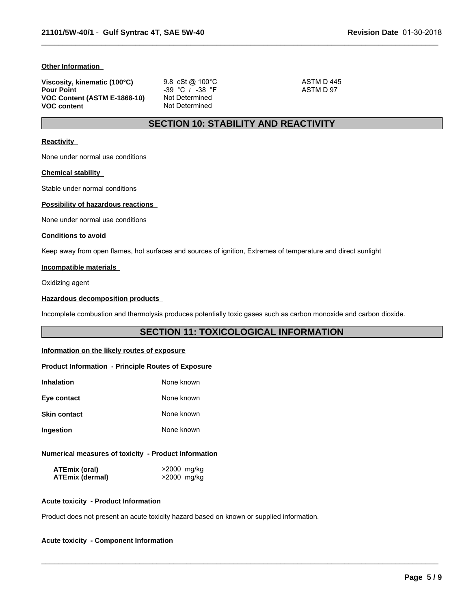#### **Other Information**

| Viscosity, kinematic (100°C) | 9.8 cSt @ $100^{\circ}$ C | ASTM D445 |
|------------------------------|---------------------------|-----------|
| <b>Pour Point</b>            | $-39$ °C / $-38$ °F       | ASTM D 97 |
| VOC Content (ASTM E-1868-10) | Not Determined            |           |
| <b>VOC content</b>           | Not Determined            |           |

# **SECTION 10: STABILITY AND REACTIVITY**

 $\_$  ,  $\_$  ,  $\_$  ,  $\_$  ,  $\_$  ,  $\_$  ,  $\_$  ,  $\_$  ,  $\_$  ,  $\_$  ,  $\_$  ,  $\_$  ,  $\_$  ,  $\_$  ,  $\_$  ,  $\_$  ,  $\_$  ,  $\_$  ,  $\_$  ,  $\_$  ,  $\_$  ,  $\_$  ,  $\_$  ,  $\_$  ,  $\_$  ,  $\_$  ,  $\_$  ,  $\_$  ,  $\_$  ,  $\_$  ,  $\_$  ,  $\_$  ,  $\_$  ,  $\_$  ,  $\_$  ,  $\_$  ,  $\_$  ,

#### **Reactivity**

None under normal use conditions

#### **Chemical stability**

Stable under normal conditions

### **Possibility of hazardous reactions**

None under normal use conditions

#### **Conditions to avoid**

Keep away from open flames, hot surfaces and sources of ignition, Extremes of temperature and direct sunlight

### **Incompatible materials**

Oxidizing agent

#### **Hazardous decomposition products**

Incomplete combustion and thermolysis produces potentially toxic gases such as carbon monoxide and carbon dioxide.

### **SECTION 11: TOXICOLOGICAL INFORMATION**

 $\_$  ,  $\_$  ,  $\_$  ,  $\_$  ,  $\_$  ,  $\_$  ,  $\_$  ,  $\_$  ,  $\_$  ,  $\_$  ,  $\_$  ,  $\_$  ,  $\_$  ,  $\_$  ,  $\_$  ,  $\_$  ,  $\_$  ,  $\_$  ,  $\_$  ,  $\_$  ,  $\_$  ,  $\_$  ,  $\_$  ,  $\_$  ,  $\_$  ,  $\_$  ,  $\_$  ,  $\_$  ,  $\_$  ,  $\_$  ,  $\_$  ,  $\_$  ,  $\_$  ,  $\_$  ,  $\_$  ,  $\_$  ,  $\_$  ,

#### **Information on the likely routes of exposure**

#### **Product Information - Principle Routes of Exposure**

| Inhalation          | None known |
|---------------------|------------|
| Eye contact         | None known |
| <b>Skin contact</b> | None known |
| Ingestion           | None known |

#### **Numerical measures of toxicity - Product Information**

| ATEmix (oral)          | >2000 mg/kg |
|------------------------|-------------|
| <b>ATEmix (dermal)</b> | >2000 mg/kg |

#### **Acute toxicity - Product Information**

Product does not present an acute toxicity hazard based on known or supplied information.

#### **Acute toxicity - Component Information**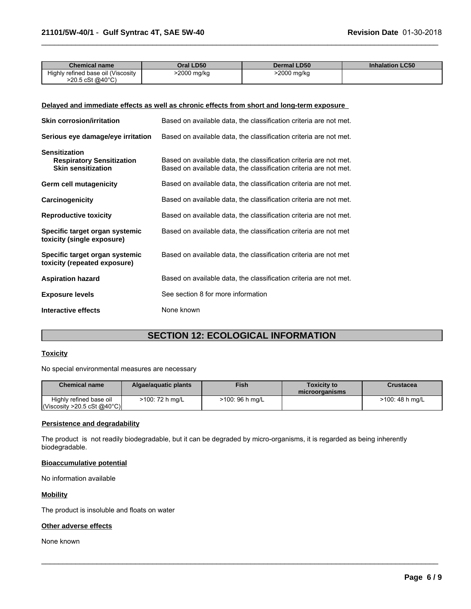| <b>Chemical name</b>               | Oral LD50   | <b>Dermal LD50</b> | <b>Inhalation LC50</b> |
|------------------------------------|-------------|--------------------|------------------------|
| Highly refined base oil (Viscosity | >2000 mg/kg | 2000 mg/kg         |                        |
| >20.5 cSt @40°C)                   |             |                    |                        |

 $\_$  ,  $\_$  ,  $\_$  ,  $\_$  ,  $\_$  ,  $\_$  ,  $\_$  ,  $\_$  ,  $\_$  ,  $\_$  ,  $\_$  ,  $\_$  ,  $\_$  ,  $\_$  ,  $\_$  ,  $\_$  ,  $\_$  ,  $\_$  ,  $\_$  ,  $\_$  ,  $\_$  ,  $\_$  ,  $\_$  ,  $\_$  ,  $\_$  ,  $\_$  ,  $\_$  ,  $\_$  ,  $\_$  ,  $\_$  ,  $\_$  ,  $\_$  ,  $\_$  ,  $\_$  ,  $\_$  ,  $\_$  ,  $\_$  ,

#### **Delayed and immediate effects as well as chronic effects from short and long-term exposure**

| <b>Skin corrosion/irritation</b>                                                      | Based on available data, the classification criteria are not met.                                                                      |
|---------------------------------------------------------------------------------------|----------------------------------------------------------------------------------------------------------------------------------------|
| Serious eye damage/eye irritation                                                     | Based on available data, the classification criteria are not met.                                                                      |
| <b>Sensitization</b><br><b>Respiratory Sensitization</b><br><b>Skin sensitization</b> | Based on available data, the classification criteria are not met.<br>Based on available data, the classification criteria are not met. |
| Germ cell mutagenicity                                                                | Based on available data, the classification criteria are not met.                                                                      |
| Carcinogenicity                                                                       | Based on available data, the classification criteria are not met.                                                                      |
| <b>Reproductive toxicity</b>                                                          | Based on available data, the classification criteria are not met.                                                                      |
| Specific target organ systemic<br>toxicity (single exposure)                          | Based on available data, the classification criteria are not met                                                                       |
| Specific target organ systemic<br>toxicity (repeated exposure)                        | Based on available data, the classification criteria are not met                                                                       |
| <b>Aspiration hazard</b>                                                              | Based on available data, the classification criteria are not met.                                                                      |
| <b>Exposure levels</b>                                                                | See section 8 for more information                                                                                                     |
| Interactive effects                                                                   | None known                                                                                                                             |

# **SECTION 12: ECOLOGICAL INFORMATION**

#### **Toxicity**

No special environmental measures are necessary

| <b>Chemical name</b>                                                   | Algae/aguatic plants | <b>Fish</b>     | Toxicitv to<br>microorganisms | Crustacea       |
|------------------------------------------------------------------------|----------------------|-----------------|-------------------------------|-----------------|
| Highly refined base oil<br>$\vert$ (Viscosity >20.5 cSt @40°C) $\vert$ | >100: 72 h mg/L      | >100: 96 h mg/L |                               | >100: 48 h mg/L |

 $\_$  ,  $\_$  ,  $\_$  ,  $\_$  ,  $\_$  ,  $\_$  ,  $\_$  ,  $\_$  ,  $\_$  ,  $\_$  ,  $\_$  ,  $\_$  ,  $\_$  ,  $\_$  ,  $\_$  ,  $\_$  ,  $\_$  ,  $\_$  ,  $\_$  ,  $\_$  ,  $\_$  ,  $\_$  ,  $\_$  ,  $\_$  ,  $\_$  ,  $\_$  ,  $\_$  ,  $\_$  ,  $\_$  ,  $\_$  ,  $\_$  ,  $\_$  ,  $\_$  ,  $\_$  ,  $\_$  ,  $\_$  ,  $\_$  ,

#### **Persistence and degradability**

The product is not readily biodegradable, but it can be degraded by micro-organisms, it is regarded as being inherently biodegradable.

### **Bioaccumulative potential**

No information available

### **Mobility**

The product is insoluble and floats on water

### **Other adverse effects**

None known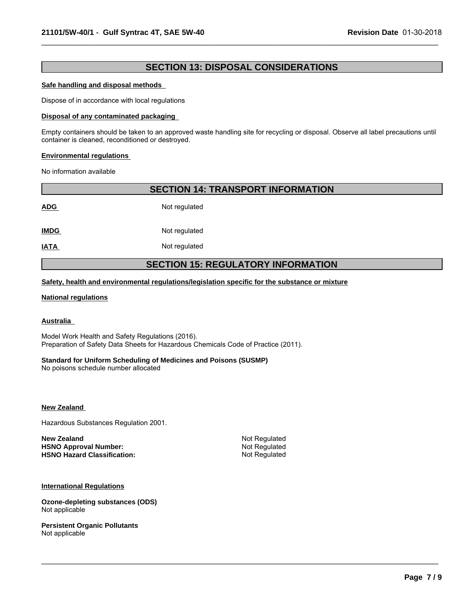# **SECTION 13: DISPOSAL CONSIDERATIONS**

 $\_$  ,  $\_$  ,  $\_$  ,  $\_$  ,  $\_$  ,  $\_$  ,  $\_$  ,  $\_$  ,  $\_$  ,  $\_$  ,  $\_$  ,  $\_$  ,  $\_$  ,  $\_$  ,  $\_$  ,  $\_$  ,  $\_$  ,  $\_$  ,  $\_$  ,  $\_$  ,  $\_$  ,  $\_$  ,  $\_$  ,  $\_$  ,  $\_$  ,  $\_$  ,  $\_$  ,  $\_$  ,  $\_$  ,  $\_$  ,  $\_$  ,  $\_$  ,  $\_$  ,  $\_$  ,  $\_$  ,  $\_$  ,  $\_$  ,

#### **Safe handling and disposal methods**

Dispose of in accordance with local regulations

#### **Disposal of any contaminated packaging**

Empty containers should be taken to an approved waste handling site for recycling or disposal. Observe all label precautions until container is cleaned, reconditioned or destroyed.

#### **Environmental regulations**

No information available

| <b>SECTION 14: TRANSPORT INFORMATION</b>  |               |  |  |  |
|-------------------------------------------|---------------|--|--|--|
| <b>ADG</b>                                | Not regulated |  |  |  |
| <b>IMDG</b>                               | Not regulated |  |  |  |
| <b>IATA</b>                               | Not regulated |  |  |  |
| <b>SECTION 15: REGULATORY INFORMATION</b> |               |  |  |  |

**Safety, health and environmental regulations/legislation specific for the substance or mixture**

#### **National regulations**

### **Australia**

Model Work Health and Safety Regulations (2016). Preparation of Safety Data Sheets for Hazardous Chemicals Code of Practice (2011).

#### **Standard for Uniform Scheduling of Medicines and Poisons (SUSMP)**

No poisons schedule number allocated

**New Zealand** 

Hazardous Substances Regulation 2001.

**New Zealand** Not Regulated **HSNO Approval Number:** Not Regulated<br> **HSNO Hazard Classification:** Not Regulated **HSNO Hazard Classification:** 

 $\_$  ,  $\_$  ,  $\_$  ,  $\_$  ,  $\_$  ,  $\_$  ,  $\_$  ,  $\_$  ,  $\_$  ,  $\_$  ,  $\_$  ,  $\_$  ,  $\_$  ,  $\_$  ,  $\_$  ,  $\_$  ,  $\_$  ,  $\_$  ,  $\_$  ,  $\_$  ,  $\_$  ,  $\_$  ,  $\_$  ,  $\_$  ,  $\_$  ,  $\_$  ,  $\_$  ,  $\_$  ,  $\_$  ,  $\_$  ,  $\_$  ,  $\_$  ,  $\_$  ,  $\_$  ,  $\_$  ,  $\_$  ,  $\_$  ,

**International Regulations**

**Ozone-depleting substances (ODS)** Not applicable

**Persistent Organic Pollutants** Not applicable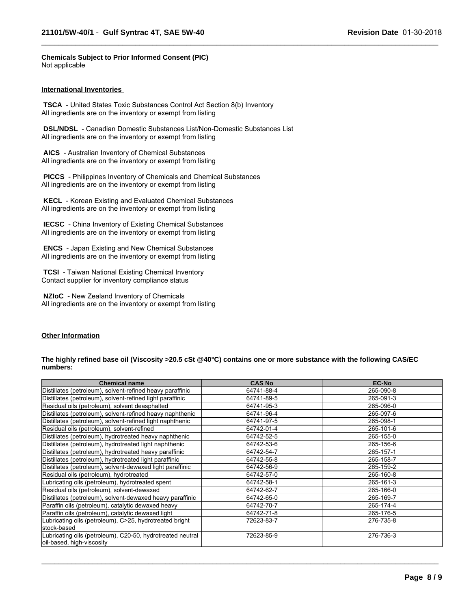**Chemicals Subject to Prior Informed Consent (PIC)** Not applicable

#### **International Inventories**

 **TSCA** - United States Toxic Substances Control Act Section 8(b) Inventory All ingredients are on the inventory or exempt from listing

 **DSL/NDSL** - Canadian Domestic Substances List/Non-Domestic Substances List All ingredients are on the inventory or exempt from listing

 **AICS** - Australian Inventory of Chemical Substances All ingredients are on the inventory or exempt from listing

 **PICCS** - Philippines Inventory of Chemicals and Chemical Substances All ingredients are on the inventory or exempt from listing

 **KECL** - Korean Existing and Evaluated Chemical Substances All ingredients are on the inventory or exempt from listing

 **IECSC** - China Inventory of Existing Chemical Substances All ingredients are on the inventory or exempt from listing

 **ENCS** - Japan Existing and New Chemical Substances All ingredients are on the inventory or exempt from listing

 **TCSI** - Taiwan National Existing Chemical Inventory Contact supplier for inventory compliance status

 **NZIoC** - New Zealand Inventory of Chemicals All ingredients are on the inventory or exempt from listing

### **Other Information**

#### **The highly refined base oil (Viscosity >20.5 cSt @40°C) contains one or more substance with the following CAS/EC numbers:**

 $\_$  ,  $\_$  ,  $\_$  ,  $\_$  ,  $\_$  ,  $\_$  ,  $\_$  ,  $\_$  ,  $\_$  ,  $\_$  ,  $\_$  ,  $\_$  ,  $\_$  ,  $\_$  ,  $\_$  ,  $\_$  ,  $\_$  ,  $\_$  ,  $\_$  ,  $\_$  ,  $\_$  ,  $\_$  ,  $\_$  ,  $\_$  ,  $\_$  ,  $\_$  ,  $\_$  ,  $\_$  ,  $\_$  ,  $\_$  ,  $\_$  ,  $\_$  ,  $\_$  ,  $\_$  ,  $\_$  ,  $\_$  ,  $\_$  ,

| <b>Chemical name</b>                                                                    | <b>CAS No</b> | <b>EC-No</b> |
|-----------------------------------------------------------------------------------------|---------------|--------------|
| Distillates (petroleum), solvent-refined heavy paraffinic                               | 64741-88-4    | 265-090-8    |
| Distillates (petroleum), solvent-refined light paraffinic                               | 64741-89-5    | 265-091-3    |
| Residual oils (petroleum), solvent deasphalted                                          | 64741-95-3    | 265-096-0    |
| Distillates (petroleum), solvent-refined heavy naphthenic                               | 64741-96-4    | 265-097-6    |
| Distillates (petroleum), solvent-refined light naphthenic                               | 64741-97-5    | 265-098-1    |
| Residual oils (petroleum), solvent-refined                                              | 64742-01-4    | 265-101-6    |
| Distillates (petroleum), hydrotreated heavy naphthenic                                  | 64742-52-5    | 265-155-0    |
| Distillates (petroleum), hydrotreated light naphthenic                                  | 64742-53-6    | 265-156-6    |
| Distillates (petroleum), hydrotreated heavy paraffinic                                  | 64742-54-7    | 265-157-1    |
| Distillates (petroleum), hydrotreated light paraffinic                                  | 64742-55-8    | 265-158-7    |
| Distillates (petroleum), solvent-dewaxed light paraffinic                               | 64742-56-9    | 265-159-2    |
| Residual oils (petroleum), hydrotreated                                                 | 64742-57-0    | 265-160-8    |
| Lubricating oils (petroleum), hydrotreated spent                                        | 64742-58-1    | 265-161-3    |
| Residual oils (petroleum), solvent-dewaxed                                              | 64742-62-7    | 265-166-0    |
| Distillates (petroleum), solvent-dewaxed heavy paraffinic                               | 64742-65-0    | 265-169-7    |
| Paraffin oils (petroleum), catalytic dewaxed heavy                                      | 64742-70-7    | 265-174-4    |
| Paraffin oils (petroleum), catalytic dewaxed light                                      | 64742-71-8    | 265-176-5    |
| Lubricating oils (petroleum), C>25, hydrotreated bright                                 | 72623-83-7    | 276-735-8    |
| stock-based                                                                             |               |              |
| Lubricating oils (petroleum), C20-50, hydrotreated neutral<br>oil-based, high-viscosity | 72623-85-9    | 276-736-3    |

 $\_$  ,  $\_$  ,  $\_$  ,  $\_$  ,  $\_$  ,  $\_$  ,  $\_$  ,  $\_$  ,  $\_$  ,  $\_$  ,  $\_$  ,  $\_$  ,  $\_$  ,  $\_$  ,  $\_$  ,  $\_$  ,  $\_$  ,  $\_$  ,  $\_$  ,  $\_$  ,  $\_$  ,  $\_$  ,  $\_$  ,  $\_$  ,  $\_$  ,  $\_$  ,  $\_$  ,  $\_$  ,  $\_$  ,  $\_$  ,  $\_$  ,  $\_$  ,  $\_$  ,  $\_$  ,  $\_$  ,  $\_$  ,  $\_$  ,